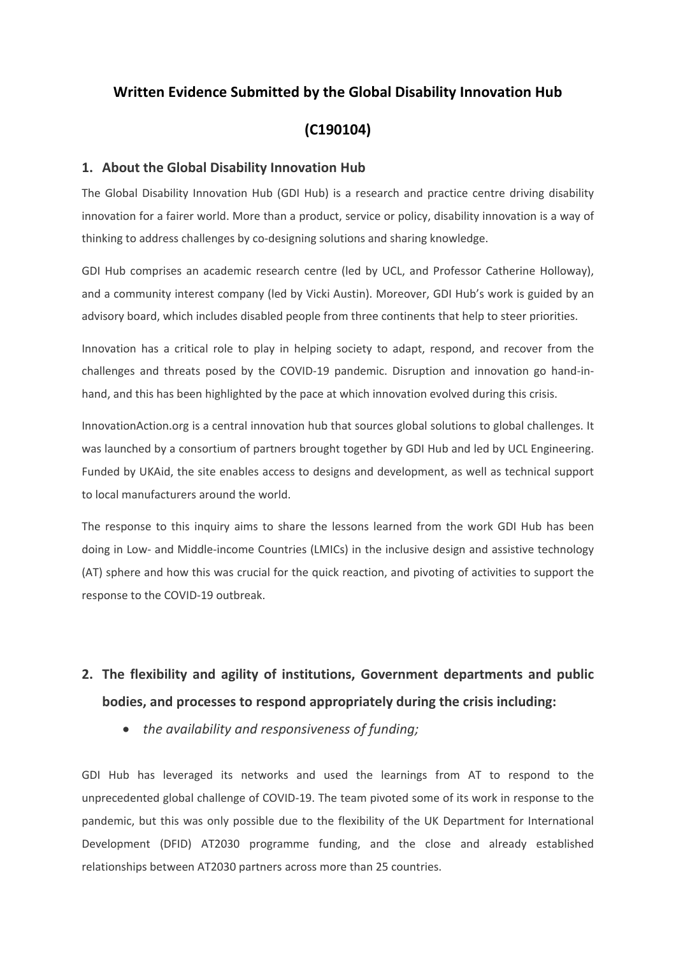# **Written Evidence Submitted by the Global Disability Innovation Hub**

# **(C190104)**

## **1. About the Global Disability Innovation Hub**

The Global Disability Innovation Hub (GDI Hub) is a research and practice centre driving disability innovation for a fairer world. More than a product, service or policy, disability innovation is a way of thinking to address challenges by co-designing solutions and sharing knowledge.

GDI Hub comprises an academic research centre (led by UCL, and Professor Catherine Holloway), and a community interest company (led by Vicki Austin). Moreover, GDI Hub's work is guided by an advisory board, which includes disabled people from three continents that help to steer priorities.

Innovation has a critical role to play in helping society to adapt, respond, and recover from the challenges and threats posed by the COVID-19 pandemic. Disruption and innovation go hand-inhand, and this has been highlighted by the pace at which innovation evolved during this crisis.

InnovationAction.org is a central innovation hub that sources global solutions to global challenges. It was launched by a consortium of partners brought together by GDI Hub and led by UCL Engineering. Funded by UKAid, the site enables access to designs and development, as well as technical support to local manufacturers around the world.

The response to this inquiry aims to share the lessons learned from the work GDI Hub has been doing in Low- and Middle-income Countries (LMICs) in the inclusive design and assistive technology (AT) sphere and how this was crucial for the quick reaction, and pivoting of activities to support the response to the COVID-19 outbreak.

# **2. The flexibility and agility of institutions, Government departments and public bodies, and processes to respond appropriately during the crisis including:**

*the availability and responsiveness of funding;*

GDI Hub has leveraged its networks and used the learnings from AT to respond to the unprecedented global challenge of COVID-19. The team pivoted some of its work in response to the pandemic, but this was only possible due to the flexibility of the UK Department for International Development (DFID) AT2030 programme funding, and the close and already established relationships between AT2030 partners across more than 25 countries.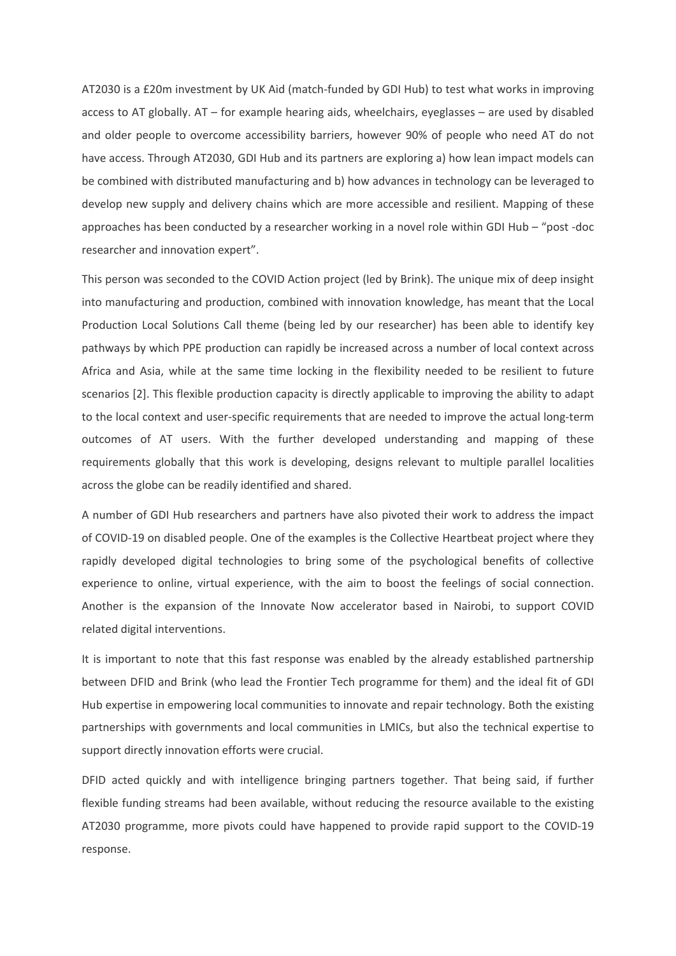AT2030 is a £20m investment by UK Aid (match-funded by GDI Hub) to test what works in improving access to AT globally. AT – for example hearing aids, wheelchairs, eyeglasses – are used by disabled and older people to overcome accessibility barriers, however 90% of people who need AT do not have access. Through AT2030, GDI Hub and its partners are exploring a) how lean impact models can be combined with distributed manufacturing and b) how advances in technology can be leveraged to develop new supply and delivery chains which are more accessible and resilient. Mapping of these approaches has been conducted by a researcher working in a novel role within GDI Hub – "post -doc researcher and innovation expert".

This person was seconded to the COVID Action project (led by Brink). The unique mix of deep insight into manufacturing and production, combined with innovation knowledge, has meant that the Local Production Local Solutions Call theme (being led by our researcher) has been able to identify key pathways by which PPE production can rapidly be increased across a number of local context across Africa and Asia, while at the same time locking in the flexibility needed to be resilient to future scenarios [2]. This flexible production capacity is directly applicable to improving the ability to adapt to the local context and user-specific requirements that are needed to improve the actual long-term outcomes of AT users. With the further developed understanding and mapping of these requirements globally that this work is developing, designs relevant to multiple parallel localities across the globe can be readily identified and shared.

A number of GDI Hub researchers and partners have also pivoted their work to address the impact of COVID-19 on disabled people. One of the examples is the Collective Heartbeat project where they rapidly developed digital technologies to bring some of the psychological benefits of collective experience to online, virtual experience, with the aim to boost the feelings of social connection. Another is the expansion of the Innovate Now accelerator based in Nairobi, to support COVID related digital interventions.

It is important to note that this fast response was enabled by the already established partnership between DFID and Brink (who lead the Frontier Tech programme for them) and the ideal fit of GDI Hub expertise in empowering local communities to innovate and repair technology. Both the existing partnerships with governments and local communities in LMICs, but also the technical expertise to support directly innovation efforts were crucial.

DFID acted quickly and with intelligence bringing partners together. That being said, if further flexible funding streams had been available, without reducing the resource available to the existing AT2030 programme, more pivots could have happened to provide rapid support to the COVID-19 response.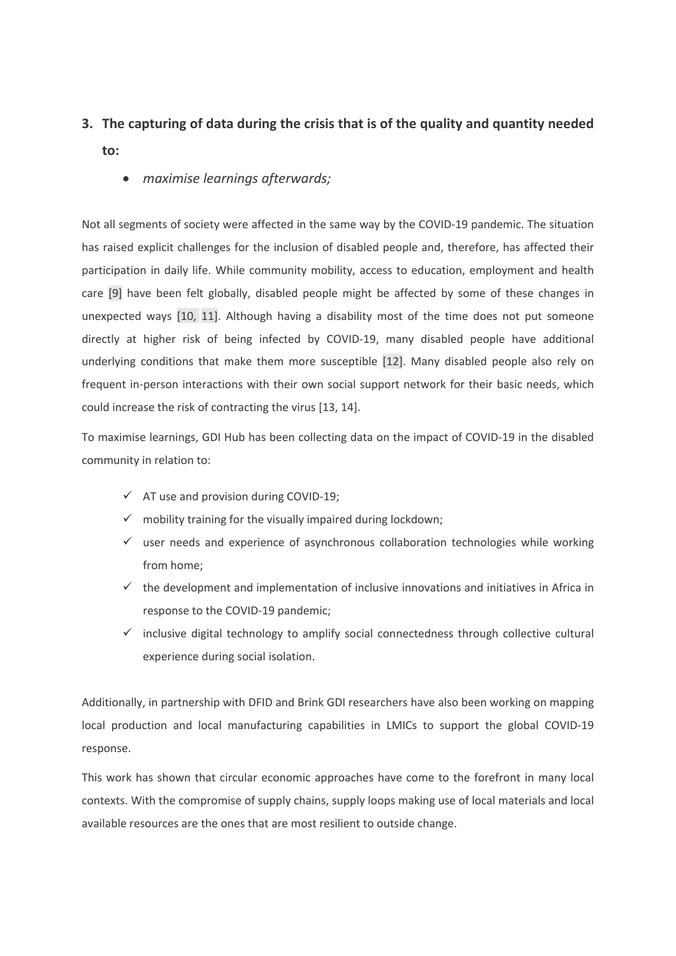# **3. The capturing of data during the crisis that is of the quality and quantity needed to:**

*maximise learnings afterwards;*

Not all segments of society were affected in the same way by the COVID-19 pandemic. The situation has raised explicit challenges for the inclusion of disabled people and, therefore, has affected their participation in daily life. While community mobility, access to education, employment and health care [9] have been felt globally, disabled people might be affected by some of these changes in unexpected ways [10, 11]. Although having a disability most of the time does not put someone directly at higher risk of being infected by COVID-19, many disabled people have additional underlying conditions that make them more susceptible [12]. Many disabled people also rely on frequent in-person interactions with their own social support network for their basic needs, which could increase the risk of contracting the virus [13, 14].

To maximise learnings, GDI Hub has been collecting data on the impact of COVID-19 in the disabled community in relation to:

- $\checkmark$  AT use and provision during COVID-19;
- mobility training for the visually impaired during lockdown;
- user needs and experience of asynchronous collaboration technologies while working from home;
- $\checkmark$  the development and implementation of inclusive innovations and initiatives in Africa in response to the COVID-19 pandemic;
- $\checkmark$  inclusive digital technology to amplify social connectedness through collective cultural experience during social isolation.

Additionally, in partnership with DFID and Brink GDI researchers have also been working on mapping local production and local manufacturing capabilities in LMICs to support the global COVID-19 response.

This work has shown that circular economic approaches have come to the forefront in many local contexts. With the compromise of supply chains, supply loops making use of local materials and local available resources are the ones that are most resilient to outside change.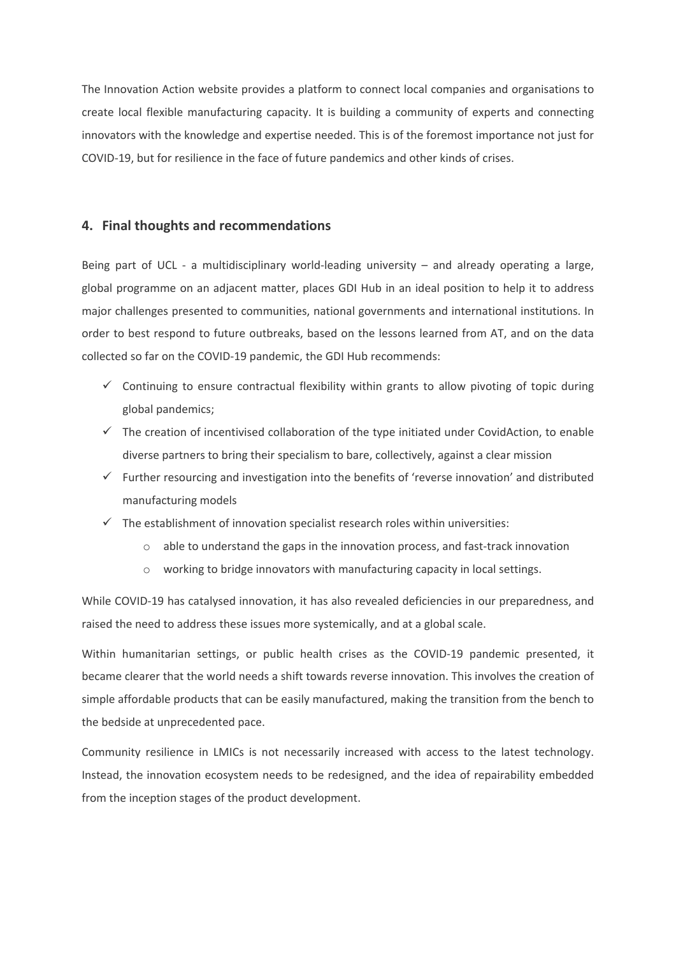The Innovation Action website provides a platform to connect local companies and organisations to create local flexible manufacturing capacity. It is building a community of experts and connecting innovators with the knowledge and expertise needed. This is of the foremost importance not just for COVID-19, but for resilience in the face of future pandemics and other kinds of crises.

## **4. Final thoughts and recommendations**

Being part of UCL - a multidisciplinary world-leading university – and already operating a large, global programme on an adjacent matter, places GDI Hub in an ideal position to help it to address major challenges presented to communities, national governments and international institutions. In order to best respond to future outbreaks, based on the lessons learned from AT, and on the data collected so far on the COVID-19 pandemic, the GDI Hub recommends:

- $\checkmark$  Continuing to ensure contractual flexibility within grants to allow pivoting of topic during global pandemics;
- $\checkmark$  The creation of incentivised collaboration of the type initiated under CovidAction, to enable diverse partners to bring their specialism to bare, collectively, against a clear mission
- $\checkmark$  Further resourcing and investigation into the benefits of 'reverse innovation' and distributed manufacturing models
- $\checkmark$  The establishment of innovation specialist research roles within universities:
	- o able to understand the gaps in the innovation process, and fast-track innovation
	- o working to bridge innovators with manufacturing capacity in local settings.

While COVID-19 has catalysed innovation, it has also revealed deficiencies in our preparedness, and raised the need to address these issues more systemically, and at a global scale.

Within humanitarian settings, or public health crises as the COVID-19 pandemic presented, it became clearer that the world needs a shift towards reverse innovation. This involves the creation of simple affordable products that can be easily manufactured, making the transition from the bench to the bedside at unprecedented pace.

Community resilience in LMICs is not necessarily increased with access to the latest technology. Instead, the innovation ecosystem needs to be redesigned, and the idea of repairability embedded from the inception stages of the product development.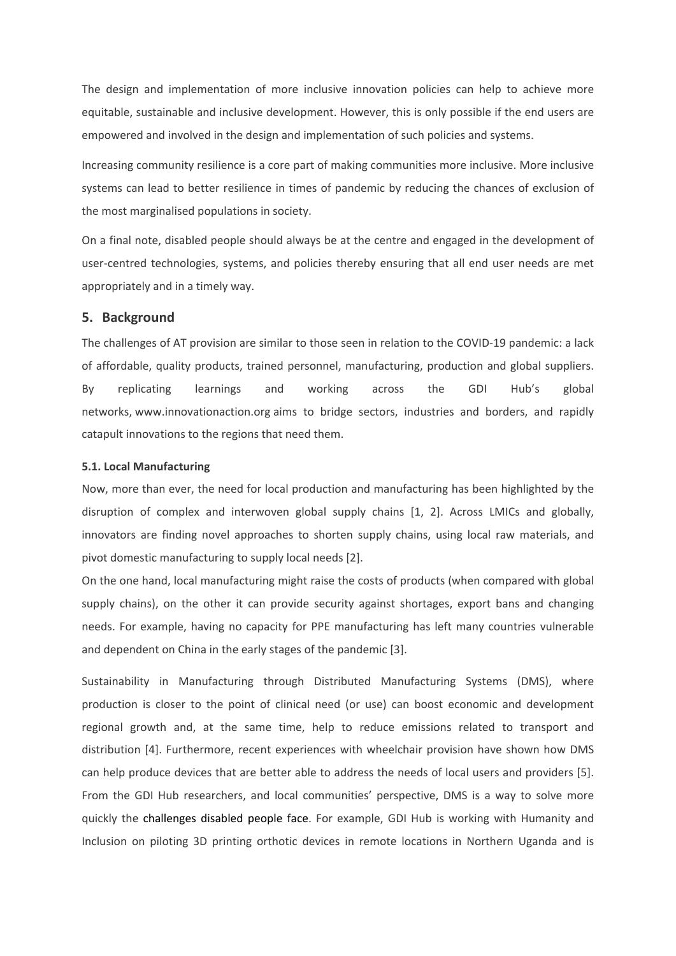The design and implementation of more inclusive innovation policies can help to achieve more equitable, sustainable and inclusive development. However, this is only possible if the end users are empowered and involved in the design and implementation of such policies and systems.

Increasing community resilience is a core part of making communities more inclusive. More inclusive systems can lead to better resilience in times of pandemic by reducing the chances of exclusion of the most marginalised populations in society.

On a final note, disabled people should always be at the centre and engaged in the development of user-centred technologies, systems, and policies thereby ensuring that all end user needs are met appropriately and in a timely way.

#### **5. Background**

The challenges of AT provision are similar to those seen in relation to the COVID-19 pandemic: a lack of affordable, quality products, trained personnel, manufacturing, production and global suppliers. By replicating learnings and working across the GDI Hub's global networks, [www.innovationaction.org](http://www.innovationaction.org/) [a](http://www.innovationaction.org/)ims to bridge sectors, industries and borders, and rapidly catapult innovations to the regions that need them.

#### **5.1. Local Manufacturing**

Now, more than ever, the need for local production and manufacturing has been highlighted by the disruption of complex and interwoven global supply chains [1, 2]. Across LMICs and globally, innovators are finding novel approaches to shorten supply chains, using local raw materials, and pivot domestic manufacturing to supply local needs [2].

On the one hand, local manufacturing might raise the costs of products (when compared with global supply chains), on the other it can provide security against shortages, export bans and changing needs. For example, having no capacity for PPE manufacturing has left many countries vulnerable and dependent on China in the early stages of the pandemic [3].

Sustainability in Manufacturing through Distributed Manufacturing Systems (DMS), where production is closer to the point of clinical need (or use) can boost economic and development regional growth and, at the same time, help to reduce emissions related to transport and distribution [4]. Furthermore, recent experiences with wheelchair provision have shown how DMS can help produce devices that are better able to address the needs of local users and providers [5]. From the GDI Hub researchers, and local communities' perspective, DMS is a way to solve more quickly the challenges disabled people face. For example, GDI Hub is working with Humanity and Inclusion on piloting 3D printing orthotic devices in remote locations in Northern Uganda and is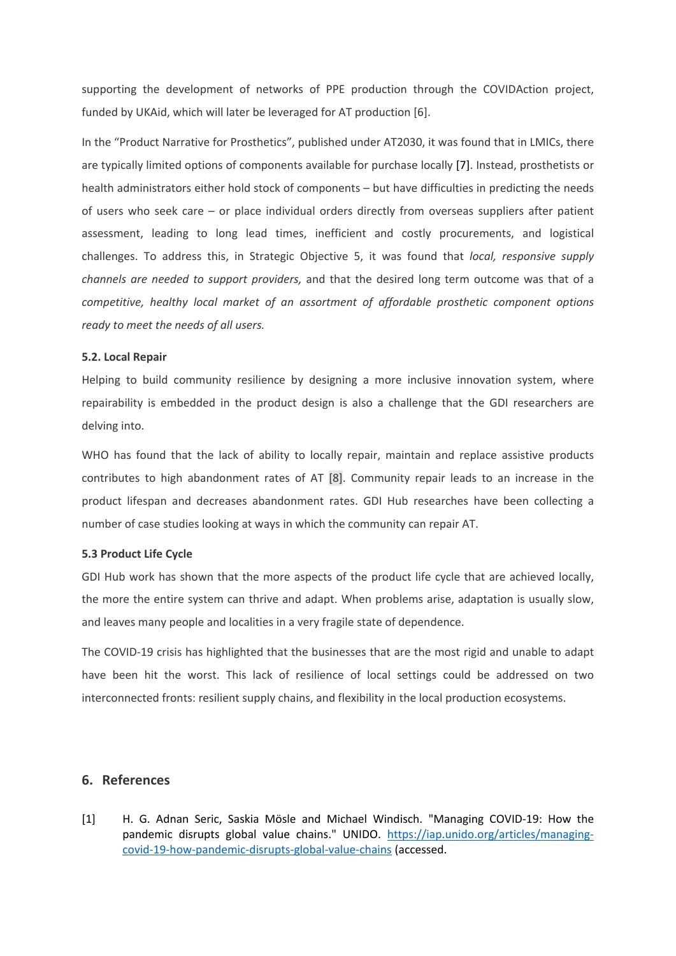supporting the development of networks of PPE production through the COVIDAction project, funded by UKAid, which will later be leveraged for AT production [6].

In the "Product Narrative for Prosthetics", published under AT2030, it was found that in LMICs, there are typically limited options of components available for purchase locally [7]. Instead, prosthetists or health administrators either hold stock of components – but have difficulties in predicting the needs of users who seek care – or place individual orders directly from overseas suppliers after patient assessment, leading to long lead times, inefficient and costly procurements, and logistical challenges. To address this, in Strategic Objective 5, it was found that *local, responsive supply channels are needed to support providers,* and that the desired long term outcome was that of a *competitive, healthy local market of an assortment of affordable prosthetic component options ready to meet the needs of all users.*

#### **5.2. Local Repair**

Helping to build community resilience by designing a more inclusive innovation system, where repairability is embedded in the product design is also a challenge that the GDI researchers are delving into.

WHO has found that the lack of ability to locally repair, maintain and replace assistive products contributes to high abandonment rates of AT [8]. Community repair leads to an increase in the product lifespan and decreases abandonment rates. GDI Hub researches have been collecting a number of case studies looking at ways in which the community can repair AT.

#### **5.3 Product Life Cycle**

GDI Hub work has shown that the more aspects of the product life cycle that are achieved locally, the more the entire system can thrive and adapt. When problems arise, adaptation is usually slow, and leaves many people and localities in a very fragile state of dependence.

The COVID-19 crisis has highlighted that the businesses that are the most rigid and unable to adapt have been hit the worst. This lack of resilience of local settings could be addressed on two interconnected fronts: resilient supply chains, and flexibility in the local production ecosystems.

### **6. References**

[1] H. G. Adnan Seric, Saskia Mösle and Michael Windisch. "Managing COVID-19: How the pandemic disrupts global value chains." UNIDO. [https://iap.unido.org/articles/managing](https://iap.unido.org/articles/managing-covid-19-how-pandemic-disrupts-global-value-chains)[covid-19-how-pandemic-disrupts-global-value-chains](https://iap.unido.org/articles/managing-covid-19-how-pandemic-disrupts-global-value-chains) (accessed.